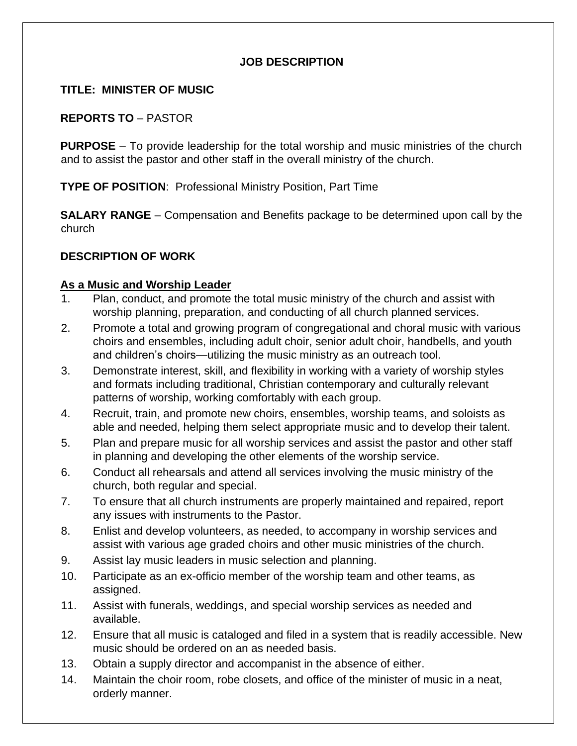## **JOB DESCRIPTION**

## **TITLE: MINISTER OF MUSIC**

## **REPORTS TO** – PASTOR

**PURPOSE** – To provide leadership for the total worship and music ministries of the church and to assist the pastor and other staff in the overall ministry of the church.

**TYPE OF POSITION**: Professional Ministry Position, Part Time

**SALARY RANGE** – Compensation and Benefits package to be determined upon call by the church

# **DESCRIPTION OF WORK**

## **As a Music and Worship Leader**

- 1. Plan, conduct, and promote the total music ministry of the church and assist with worship planning, preparation, and conducting of all church planned services.
- 2. Promote a total and growing program of congregational and choral music with various choirs and ensembles, including adult choir, senior adult choir, handbells, and youth and children's choirs—utilizing the music ministry as an outreach tool.
- 3. Demonstrate interest, skill, and flexibility in working with a variety of worship styles and formats including traditional, Christian contemporary and culturally relevant patterns of worship, working comfortably with each group.
- 4. Recruit, train, and promote new choirs, ensembles, worship teams, and soloists as able and needed, helping them select appropriate music and to develop their talent.
- 5. Plan and prepare music for all worship services and assist the pastor and other staff in planning and developing the other elements of the worship service.
- 6. Conduct all rehearsals and attend all services involving the music ministry of the church, both regular and special.
- 7. To ensure that all church instruments are properly maintained and repaired, report any issues with instruments to the Pastor.
- 8. Enlist and develop volunteers, as needed, to accompany in worship services and assist with various age graded choirs and other music ministries of the church.
- 9. Assist lay music leaders in music selection and planning.
- 10. Participate as an ex-officio member of the worship team and other teams, as assigned.
- 11. Assist with funerals, weddings, and special worship services as needed and available.
- 12. Ensure that all music is cataloged and filed in a system that is readily accessible. New music should be ordered on an as needed basis.
- 13. Obtain a supply director and accompanist in the absence of either.
- 14. Maintain the choir room, robe closets, and office of the minister of music in a neat, orderly manner.